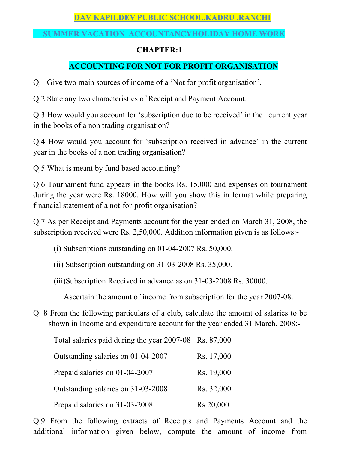# **DAV KAPILDEV PUBLIC SCHOOL,KADRU ,RANCHI**

### **SUMMER VACATION ACCOUNTANCYHOLIDAY HOME WORK**

### **CHAPTER:1**

# **ACCOUNTING FOR NOT FOR PROFIT ORGANISATION**

Q.1 Give two main sources of income of a 'Not for profit organisation'.

Q.2 State any two characteristics of Receipt and Payment Account.

Q.3 How would you account for 'subscription due to be received' in the current year in the books of a non trading organisation?

Q.4 How would you account for 'subscription received in advance' in the current year in the books of a non trading organisation?

Q.5 What is meant by fund based accounting?

Q.6 Tournament fund appears in the books Rs. 15,000 and expenses on tournament during the year were Rs. 18000. How will you show this in format while preparing financial statement of a not-for-profit organisation?

Q.7 As per Receipt and Payments account for the year ended on March 31, 2008, the subscription received were Rs. 2,50,000. Addition information given is as follows:-

- (i) Subscriptions outstanding on 01-04-2007 Rs. 50,000.
- (ii) Subscription outstanding on 31-03-2008 Rs. 35,000.
- (iii)Subscription Received in advance as on 31-03-2008 Rs. 30000.

Ascertain the amount of income from subscription for the year 2007-08.

Q. 8 From the following particulars of a club, calculate the amount of salaries to be shown in Income and expenditure account for the year ended 31 March, 2008:-

Total salaries paid during the year 2007-08 Rs. 87,000

| Outstanding salaries on 01-04-2007 | Rs. 17,000 |
|------------------------------------|------------|
| Prepaid salaries on 01-04-2007     | Rs. 19,000 |
| Outstanding salaries on 31-03-2008 | Rs. 32,000 |
| Prepaid salaries on 31-03-2008     | Rs 20,000  |

Q.9 From the following extracts of Receipts and Payments Account and the additional information given below, compute the amount of income from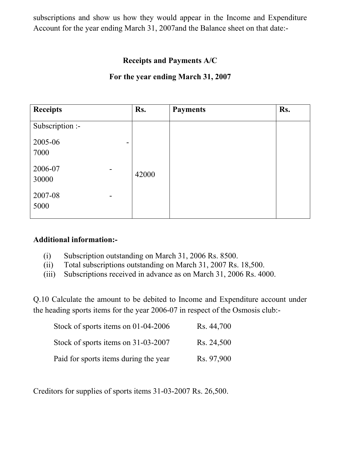subscriptions and show us how they would appear in the Income and Expenditure Account for the year ending March 31, 2007and the Balance sheet on that date:-

## **Receipts and Payments A/C**

### **For the year ending March 31, 2007**

| <b>Receipts</b>                             | Rs.   | <b>Payments</b> | Rs. |
|---------------------------------------------|-------|-----------------|-----|
| Subscription :-                             |       |                 |     |
| 2005-06<br>۰.<br>7000                       |       |                 |     |
| 2006-07<br>$\blacksquare$<br>30000          | 42000 |                 |     |
| 2007-08<br>$\overline{\phantom{0}}$<br>5000 |       |                 |     |

#### **Additional information:-**

- (i) Subscription outstanding on March 31, 2006 Rs. 8500.
- (ii) Total subscriptions outstanding on March 31, 2007 Rs. 18,500.
- (iii) Subscriptions received in advance as on March 31, 2006 Rs. 4000.

Q.10 Calculate the amount to be debited to Income and Expenditure account under the heading sports items for the year 2006-07 in respect of the Osmosis club:-

| Stock of sports items on $01-04-2006$ | Rs. 44,700 |
|---------------------------------------|------------|
| Stock of sports items on 31-03-2007   | Rs. 24,500 |
| Paid for sports items during the year | Rs. 97,900 |

Creditors for supplies of sports items 31-03-2007 Rs. 26,500.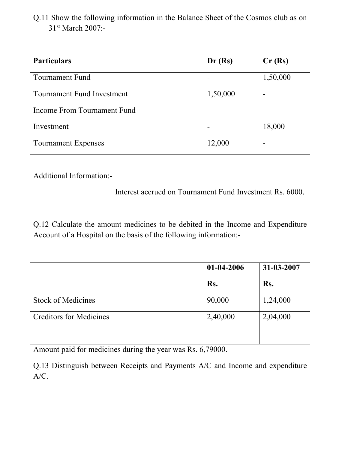Q.11 Show the following information in the Balance Sheet of the Cosmos club as on 31<sup>st</sup> March 2007:-

| <b>Particulars</b>                | Dr(Rs)   | Cr(Rs)   |
|-----------------------------------|----------|----------|
| Tournament Fund                   |          | 1,50,000 |
| <b>Tournament Fund Investment</b> | 1,50,000 | -        |
| Income From Tournament Fund       |          |          |
| Investment                        |          | 18,000   |
| <b>Tournament Expenses</b>        | 12,000   | -        |

Additional Information:-

Interest accrued on Tournament Fund Investment Rs. 6000.

Q.12 Calculate the amount medicines to be debited in the Income and Expenditure Account of a Hospital on the basis of the following information:-

|                                | 01-04-2006 | 31-03-2007 |  |
|--------------------------------|------------|------------|--|
|                                | Rs.        | Rs.        |  |
| <b>Stock of Medicines</b>      | 90,000     | 1,24,000   |  |
| <b>Creditors for Medicines</b> | 2,40,000   | 2,04,000   |  |

Amount paid for medicines during the year was Rs. 6,79000.

Q.13 Distinguish between Receipts and Payments A/C and Income and expenditure A/C.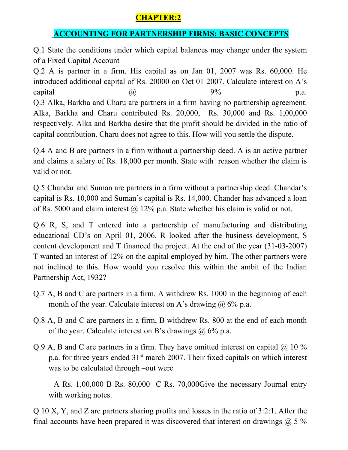# **CHAPTER:2**

# **ACCOUNTING FOR PARTNERSHIP FIRMS: BASIC CONCEPTS**

Q.1 State the conditions under which capital balances may change under the system of a Fixed Capital Account

Q.2 A is partner in a firm. His capital as on Jan 01, 2007 was Rs. 60,000. He introduced additional capital of Rs. 20000 on Oct 01 2007. Calculate interest on A's capital  $\omega$   $\qquad \qquad \omega$  9% p.a. Q.3 Alka, Barkha and Charu are partners in a firm having no partnership agreement. Alka, Barkha and Charu contributed Rs. 20,000, Rs. 30,000 and Rs. 1,00,000 respectively. Alka and Barkha desire that the profit should be divided in the ratio of capital contribution. Charu does not agree to this. How will you settle the dispute.

Q.4 A and B are partners in a firm without a partnership deed. A is an active partner and claims a salary of Rs. 18,000 per month. State with reason whether the claim is valid or not.

Q.5 Chandar and Suman are partners in a firm without a partnership deed. Chandar's capital is Rs. 10,000 and Suman's capital is Rs. 14,000. Chander has advanced a loan of Rs. 5000 and claim interest  $\omega$  12% p.a. State whether his claim is valid or not.

Q.6 R, S, and T entered into a partnership of manufacturing and distributing educational CD's on April 01, 2006. R looked after the business development, S content development and T financed the project. At the end of the year (31-03-2007) T wanted an interest of 12% on the capital employed by him. The other partners were not inclined to this. How would you resolve this within the ambit of the Indian Partnership Act, 1932?

- Q.7 A, B and C are partners in a firm. A withdrew Rs. 1000 in the beginning of each month of the year. Calculate interest on A's drawing  $\omega$  6% p.a.
- Q.8 A, B and C are partners in a firm, B withdrew Rs. 800 at the end of each month of the year. Calculate interest on B's drawings  $@$  6% p.a.
- Q.9 A, B and C are partners in a firm. They have omitted interest on capital  $\omega$  10 % p.a. for three years ended 31st march 2007. Their fixed capitals on which interest was to be calculated through –out were

 A Rs. 1,00,000 B Rs. 80,000 C Rs. 70,000Give the necessary Journal entry with working notes.

Q.10 X, Y, and Z are partners sharing profits and losses in the ratio of 3:2:1. After the final accounts have been prepared it was discovered that interest on drawings  $\omega$  5 %